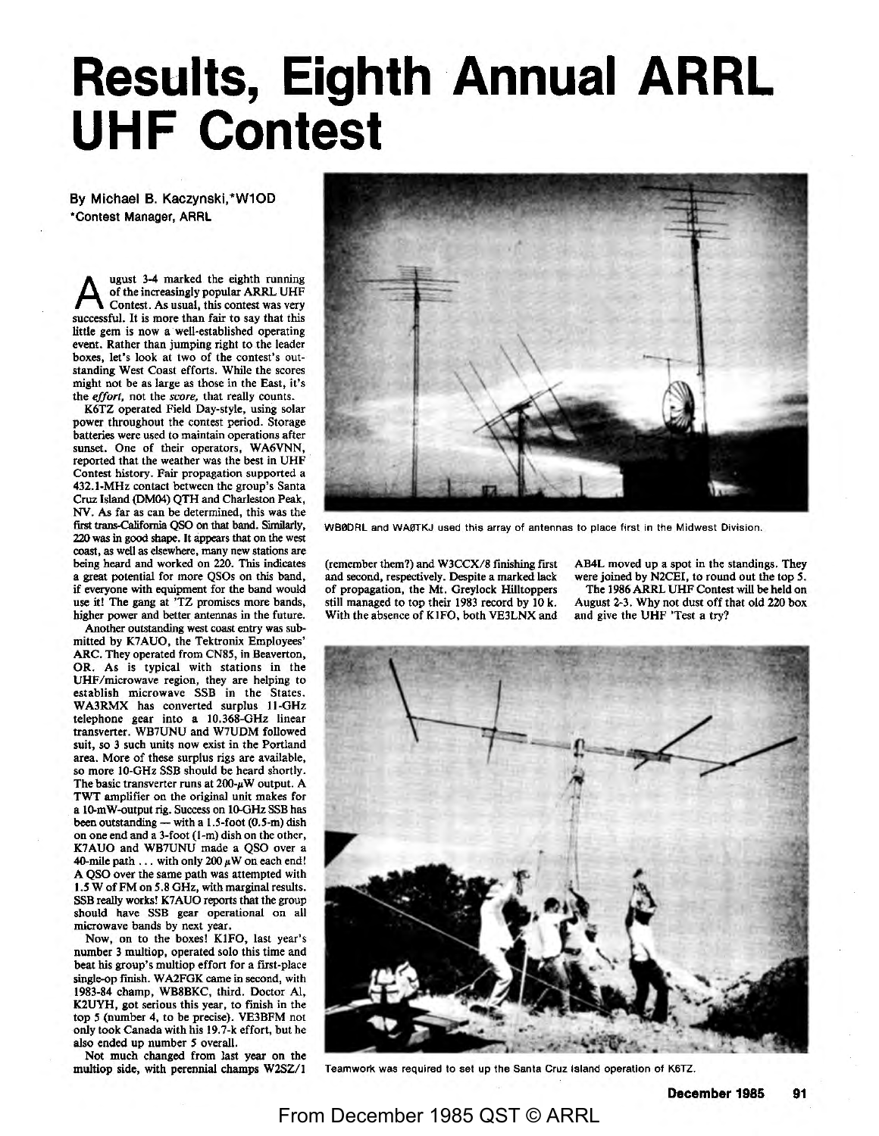# **Results, Eighth Annual ARRL UHF Contest**

By Michael **B.** Kaczynski,\*W10D •contest Manager, ARAL

A ugust 3-4 marked the eighth running<br>of the increasingly popular ARRL UHF<br>Contest. As usual, this contest was very of the increasingly popular ARRL UHF Contest. As usual, this contest was very successful. It is more than fair to say that this little gem is now a well-established operating event. Rather than jumping right to the leader boxes, let's look at two of the contest's outstanding West Coast efforts. While the scores might not be as large as those in the East, it's the *effort,* not the *score,* that really counts.

K6TZ operated Field Day-style, using solar power throughout the contest period. Storage batteries were used to maintain operations after sunset. One of their operators, WA6VNN, reported that the weather was the best in UHF Contest history. Fair propagation supported a 432.1-MHz contact between the group's Santa Cruz Island (DM04) QTH and Charleston Peak, NV. As far as can be determined, this was the first trans-California QSO on that band. Similarly, 220 was in good shape. It appears that on the west coast, as well as elsewhere, many new stations are being heard and worked on 220. This indicates a great potential for more QSOs on this band, if everyone with equipment for the band would use it! The gang at 'TZ promises more bands, higher power and better antennas in the future.

Another outstanding west coast entry was submitted by K7AUO, the Tektronix Employees' ARC. They operated from CNSS, in Beaverton, OR. As is typical with stations in the UHF/microwave region, they are helping to establish microwave SSB in the States. WA3RMX has converted surplus II-GHz telephone gear into a 10.368-GHz linear transverter. WB7UNU and W7UDM followed suit, so 3 such units now exist in the Portland area. More of these surplus rigs are available, so more IO-GHz SSB should be heard shortly. The basic transverter runs at  $200-\mu$ W output. A TWT amplifier on the original unit makes for a IO-mW-output rig. Success on IO-GHz SSB has been outstanding  $-$  with a 1.5-foot (0.5-m) dish on one end and a 3-foot (1-m) dish on the other, K7AUO and WB7UNU made a QSO over a 40-mile path  $\dots$  with only 200  $\mu$ W on each end! **A** QSO over the same path was attempted with 1.5 W of FM on *5.* 8 GHz, with marginal results. SSB really works! K7AUO reports that the group should have SSB gear operational on all microwave bands by next year.

Now, on to the boxes! KIFO, last year's number 3 multiop, operated solo this time and beat his group's multiop effort for a first-place single-op finish. WA2FGK came in second, with 1983-84 champ, WBSBKC, third. Doctor Al, K2UYH, got serious this year, to finish in the top *5* (number 4, to be precise). VE3BFM not only took Canada with his 19.7-k effort, but he also ended up number *S* overall.

Not much changed from last year on the multiop side, with perennial champs W2SZ/I



WB0ORL and WA0TKJ used this array of antennas to place first in the Midwest Division.

(remember them?) and W3CCX/8 finishing first and second, respectively. Despite a marked lack of propagation, the Mt. Greylock Hilltoppers still managed to top their 1983 record by 10 k. With the absence of KIFO, both VE3LNX and AB4L moved up a spot in the standings. They were joined by N2CEI, to round out the top *S.*  The 1986 ARRL UHF Contest will be held on August 2-3. Why not dust off that old 220 box and give the UHF 'Test a try?



Teamwork was required to set up the Santa Cruz Island operation of K6TZ.

From December 1985 QST © ARRL